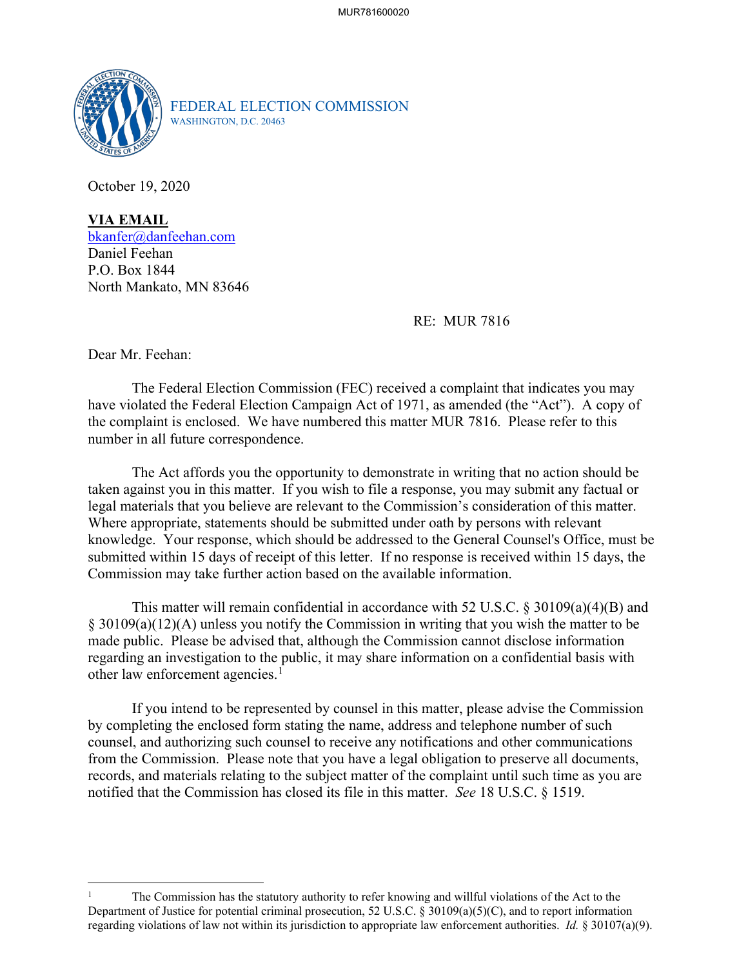

FEDERAL ELECTION COMMISSION WASHINGTON, D.C. 20463

October 19, 2020

**VIA EMAIL** [bkanfer@danfeehan.com](mailto:bkanfer@danfeehan.com) Daniel Feehan P.O. Box 1844 North Mankato, MN 83646

RE: MUR 7816

Dear Mr. Feehan:

The Federal Election Commission (FEC) received a complaint that indicates you may have violated the Federal Election Campaign Act of 1971, as amended (the "Act"). A copy of the complaint is enclosed. We have numbered this matter MUR 7816. Please refer to this number in all future correspondence.

 The Act affords you the opportunity to demonstrate in writing that no action should be taken against you in this matter. If you wish to file a response, you may submit any factual or legal materials that you believe are relevant to the Commission's consideration of this matter. Where appropriate, statements should be submitted under oath by persons with relevant knowledge. Your response, which should be addressed to the General Counsel's Office, must be submitted within 15 days of receipt of this letter. If no response is received within 15 days, the Commission may take further action based on the available information.

This matter will remain confidential in accordance with 52 U.S.C. § 30109(a)(4)(B) and § 30109(a)(12)(A) unless you notify the Commission in writing that you wish the matter to be made public. Please be advised that, although the Commission cannot disclose information regarding an investigation to the public, it may share information on a confidential basis with other law enforcement agencies.<sup>[1](#page-0-0)</sup>

If you intend to be represented by counsel in this matter, please advise the Commission by completing the enclosed form stating the name, address and telephone number of such counsel, and authorizing such counsel to receive any notifications and other communications from the Commission. Please note that you have a legal obligation to preserve all documents, records, and materials relating to the subject matter of the complaint until such time as you are notified that the Commission has closed its file in this matter. *See* 18 U.S.C. § 1519.

<span id="page-0-0"></span><sup>1</sup> The Commission has the statutory authority to refer knowing and willful violations of the Act to the Department of Justice for potential criminal prosecution, 52 U.S.C. § 30109(a)(5)(C), and to report information regarding violations of law not within its jurisdiction to appropriate law enforcement authorities. *Id.* § 30107(a)(9).